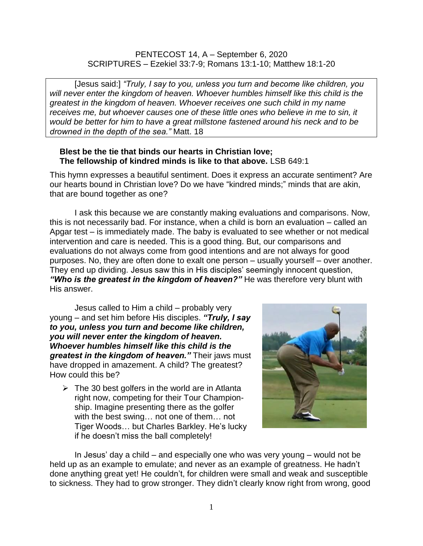## PENTECOST 14, A – September 6, 2020 SCRIPTURES – Ezekiel 33:7-9; Romans 13:1-10; Matthew 18:1-20

[Jesus said:] *"Truly, I say to you, unless you turn and become like children, you will never enter the kingdom of heaven. Whoever humbles himself like this child is the greatest in the kingdom of heaven. Whoever receives one such child in my name receives me, but whoever causes one of these little ones who believe in me to sin, it would be better for him to have a great millstone fastened around his neck and to be drowned in the depth of the sea."* Matt. 18

## **Blest be the tie that binds our hearts in Christian love; The fellowship of kindred minds is like to that above.** LSB 649:1

This hymn expresses a beautiful sentiment. Does it express an accurate sentiment? Are our hearts bound in Christian love? Do we have "kindred minds;" minds that are akin, that are bound together as one?

I ask this because we are constantly making evaluations and comparisons. Now, this is not necessarily bad. For instance, when a child is born an evaluation – called an Apgar test – is immediately made. The baby is evaluated to see whether or not medical intervention and care is needed. This is a good thing. But, our comparisons and evaluations do not always come from good intentions and are not always for good purposes. No, they are often done to exalt one person – usually yourself – over another. They end up dividing. Jesus saw this in His disciples' seemingly innocent question, *"Who is the greatest in the kingdom of heaven?"* He was therefore very blunt with His answer.

Jesus called to Him a child – probably very young – and set him before His disciples. *"Truly, I say to you, unless you turn and become like children, you will never enter the kingdom of heaven. Whoever humbles himself like this child is the greatest in the kingdom of heaven."* Their jaws must have dropped in amazement. A child? The greatest? How could this be?

 $\triangleright$  The 30 best golfers in the world are in Atlanta right now, competing for their Tour Championship. Imagine presenting there as the golfer with the best swing… not one of them… not Tiger Woods… but Charles Barkley. He's lucky if he doesn't miss the ball completely!



In Jesus' day a child – and especially one who was very young – would not be held up as an example to emulate; and never as an example of greatness. He hadn't done anything great yet! He couldn't, for children were small and weak and susceptible to sickness. They had to grow stronger. They didn't clearly know right from wrong, good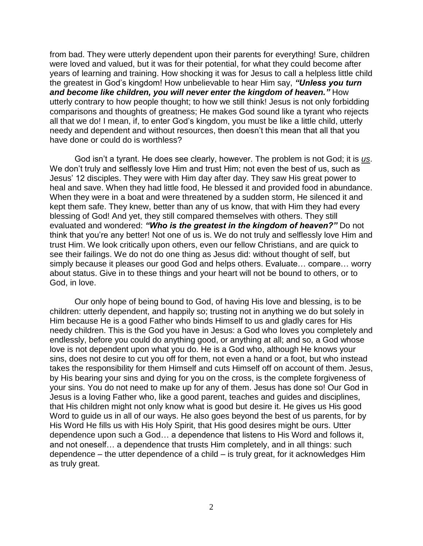from bad. They were utterly dependent upon their parents for everything! Sure, children were loved and valued, but it was for their potential, for what they could become after years of learning and training. How shocking it was for Jesus to call a helpless little child the greatest in God's kingdom! How unbelievable to hear Him say, *"Unless you turn and become like children, you will never enter the kingdom of heaven."* How utterly contrary to how people thought; to how we still think! Jesus is not only forbidding comparisons and thoughts of greatness; He makes God sound like a tyrant who rejects all that we do! I mean, if, to enter God's kingdom, you must be like a little child, utterly needy and dependent and without resources, then doesn't this mean that all that you have done or could do is worthless?

God isn't a tyrant. He does see clearly, however. The problem is not God; it is *us*. We don't truly and selflessly love Him and trust Him; not even the best of us, such as Jesus' 12 disciples. They were with Him day after day. They saw His great power to heal and save. When they had little food, He blessed it and provided food in abundance. When they were in a boat and were threatened by a sudden storm, He silenced it and kept them safe. They knew, better than any of us know, that with Him they had every blessing of God! And yet, they still compared themselves with others. They still evaluated and wondered: *"Who is the greatest in the kingdom of heaven?"* Do not think that you're any better! Not one of us is. We do not truly and selflessly love Him and trust Him. We look critically upon others, even our fellow Christians, and are quick to see their failings. We do not do one thing as Jesus did: without thought of self, but simply because it pleases our good God and helps others. Evaluate… compare… worry about status. Give in to these things and your heart will not be bound to others, or to God, in love.

Our only hope of being bound to God, of having His love and blessing, is to be children: utterly dependent, and happily so; trusting not in anything we do but solely in Him because He is a good Father who binds Himself to us and gladly cares for His needy children. This is the God you have in Jesus: a God who loves you completely and endlessly, before you could do anything good, or anything at all; and so, a God whose love is not dependent upon what you do. He is a God who, although He knows your sins, does not desire to cut you off for them, not even a hand or a foot, but who instead takes the responsibility for them Himself and cuts Himself off on account of them. Jesus, by His bearing your sins and dying for you on the cross, is the complete forgiveness of your sins. You do not need to make up for any of them. Jesus has done so! Our God in Jesus is a loving Father who, like a good parent, teaches and guides and disciplines, that His children might not only know what is good but desire it. He gives us His good Word to guide us in all of our ways. He also goes beyond the best of us parents, for by His Word He fills us with His Holy Spirit, that His good desires might be ours. Utter dependence upon such a God… a dependence that listens to His Word and follows it, and not oneself… a dependence that trusts Him completely, and in all things: such dependence – the utter dependence of a child – is truly great, for it acknowledges Him as truly great.